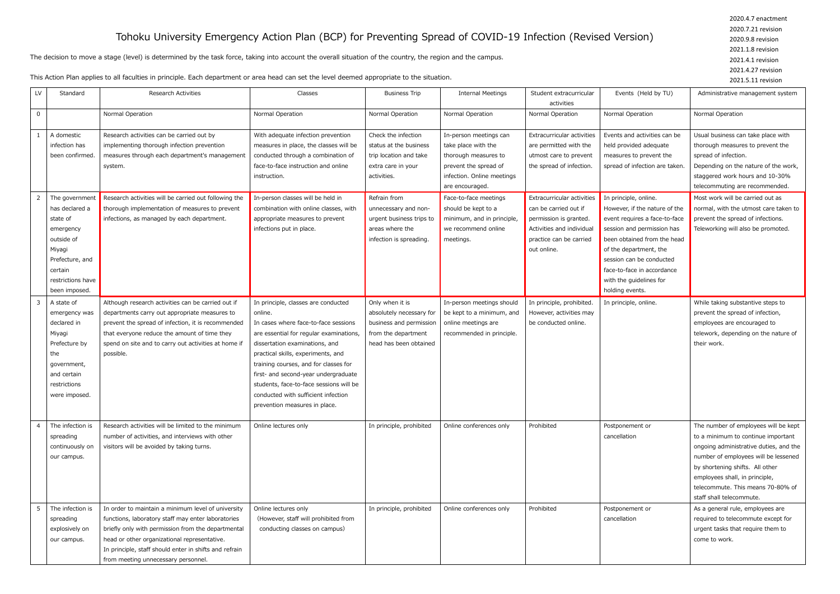## Tohoku University Emergency Action Plan (BCP) for Preventing Spread of COVID-19 Infection (Revised Version)

The decision to move a stage (level) is determined by the task force, taking into account the overall situation of the country, the region and the campus.

This Action Plan applies to all faculties in principle. Each department or area head can set the level deemed appropriate to the situation.

| LV             | Standard                                                                                                                                             | <b>Research Activities</b>                                                                                                                                                                                                                                                                                      | Classes                                                                                                                                                                                                                                                                                                                                                                                                       | <b>Business Trip</b>                                                                                                    | <b>Internal Meetings</b>                                                                                                                        | Student extracurricular<br>activities                                                                                                                | Events (Held by TU)                                                                                                                                                                                                                                                                    | Administrative management system                                                                                                                                                                                                                                                                   |
|----------------|------------------------------------------------------------------------------------------------------------------------------------------------------|-----------------------------------------------------------------------------------------------------------------------------------------------------------------------------------------------------------------------------------------------------------------------------------------------------------------|---------------------------------------------------------------------------------------------------------------------------------------------------------------------------------------------------------------------------------------------------------------------------------------------------------------------------------------------------------------------------------------------------------------|-------------------------------------------------------------------------------------------------------------------------|-------------------------------------------------------------------------------------------------------------------------------------------------|------------------------------------------------------------------------------------------------------------------------------------------------------|----------------------------------------------------------------------------------------------------------------------------------------------------------------------------------------------------------------------------------------------------------------------------------------|----------------------------------------------------------------------------------------------------------------------------------------------------------------------------------------------------------------------------------------------------------------------------------------------------|
| $\mathsf 0$    |                                                                                                                                                      | Normal Operation                                                                                                                                                                                                                                                                                                | Normal Operation                                                                                                                                                                                                                                                                                                                                                                                              | Normal Operation                                                                                                        | Normal Operation                                                                                                                                | Normal Operation                                                                                                                                     | Normal Operation                                                                                                                                                                                                                                                                       | Normal Operation                                                                                                                                                                                                                                                                                   |
|                | A domestic<br>infection has<br>been confirmed                                                                                                        | Research activities can be carried out by<br>implementing thorough infection prevention<br>measures through each department's management<br>system.                                                                                                                                                             | With adequate infection prevention<br>measures in place, the classes will be<br>conducted through a combination of<br>face-to-face instruction and online<br>instruction.                                                                                                                                                                                                                                     | Check the infection<br>status at the business<br>trip location and take<br>extra care in your<br>activities.            | In-person meetings can<br>take place with the<br>thorough measures to<br>prevent the spread of<br>infection. Online meetings<br>are encouraged. | Extracurricular activities<br>are permitted with the<br>utmost care to prevent<br>the spread of infection.                                           | Events and activities can be<br>held provided adequate<br>measures to prevent the<br>spread of infection are taken.                                                                                                                                                                    | Usual business can take place with<br>thorough measures to prevent the<br>spread of infection.<br>Depending on the nature of the work,<br>staggered work hours and 10-30%<br>telecommuting are recommended.                                                                                        |
| $\overline{2}$ | The governmen<br>has declared a<br>state of<br>emergency<br>outside of<br>Miyagi<br>Prefecture, and<br>certain<br>restrictions have<br>been imposed. | Research activities will be carried out following the<br>thorough implementation of measures to prevent<br>infections, as managed by each department.                                                                                                                                                           | In-person classes will be held in<br>combination with online classes, with<br>appropriate measures to prevent<br>infections put in place.                                                                                                                                                                                                                                                                     | Refrain from<br>unnecessary and non-<br>urgent business trips to<br>areas where the<br>infection is spreading.          | Face-to-face meetings<br>should be kept to a<br>minimum, and in principle,<br>we recommend online<br>meetings.                                  | Extracurricular activities<br>can be carried out if<br>permission is granted.<br>Activities and individual<br>practice can be carried<br>out online. | In principle, online.<br>However, if the nature of the<br>event requires a face-to-face<br>session and permission has<br>been obtained from the head<br>of the department, the<br>session can be conducted<br>face-to-face in accordance<br>with the guidelines for<br>holding events. | Most work will be carried out as<br>normal, with the utmost care taken to<br>prevent the spread of infections.<br>Teleworking will also be promoted.                                                                                                                                               |
| $\overline{3}$ | A state of<br>emergency was<br>declared in<br>Miyagi<br>Prefecture by<br>the<br>government,<br>and certain<br>restrictions<br>were imposed.          | Although research activities can be carried out if<br>departments carry out appropriate measures to<br>prevent the spread of infection, it is recommended<br>that everyone reduce the amount of time they<br>spend on site and to carry out activities at home if<br>possible.                                  | In principle, classes are conducted<br>online.<br>In cases where face-to-face sessions<br>are essential for regular examinations,<br>dissertation examinations, and<br>practical skills, experiments, and<br>training courses, and for classes for<br>first- and second-year undergraduate<br>students, face-to-face sessions will be<br>conducted with sufficient infection<br>prevention measures in place. | Only when it is<br>absolutely necessary for<br>business and permission<br>from the department<br>head has been obtained | In-person meetings should<br>be kept to a minimum, and<br>online meetings are<br>recommended in principle.                                      | In principle, prohibited.<br>However, activities may<br>be conducted online.                                                                         | In principle, online.                                                                                                                                                                                                                                                                  | While taking substantive steps to<br>prevent the spread of infection,<br>employees are encouraged to<br>telework, depending on the nature of<br>their work.                                                                                                                                        |
| $\overline{4}$ | The infection is<br>spreading<br>continuously on<br>our campus.                                                                                      | Research activities will be limited to the minimum<br>number of activities, and interviews with other<br>visitors will be avoided by taking turns.                                                                                                                                                              | Online lectures only                                                                                                                                                                                                                                                                                                                                                                                          | In principle, prohibited                                                                                                | Online conferences only                                                                                                                         | Prohibited                                                                                                                                           | Postponement or<br>cancellation                                                                                                                                                                                                                                                        | The number of employees will be kept<br>to a minimum to continue important<br>ongoing administrative duties, and the<br>number of employees will be lessened<br>by shortening shifts. All other<br>employees shall, in principle,<br>telecommute. This means 70-80% of<br>staff shall telecommute. |
| 5              | The infection is<br>spreading<br>explosively on<br>our campus.                                                                                       | In order to maintain a minimum level of university<br>functions, laboratory staff may enter laboratories<br>briefly only with permission from the departmental<br>head or other organizational representative.<br>In principle, staff should enter in shifts and refrain<br>from meeting unnecessary personnel. | Online lectures only<br>(However, staff will prohibited from<br>conducting classes on campus)                                                                                                                                                                                                                                                                                                                 | In principle, prohibited                                                                                                | Online conferences only                                                                                                                         | Prohibited                                                                                                                                           | Postponement or<br>cancellation                                                                                                                                                                                                                                                        | As a general rule, employees are<br>required to telecommute except for<br>urgent tasks that require them to<br>come to work.                                                                                                                                                                       |

2020.4.7 enactment 2020.7.21 revision 2020.9.8 revision 2021.1.8 revision 2021.4.1 revision 2021.4.27 revision 2021.5.11 revision